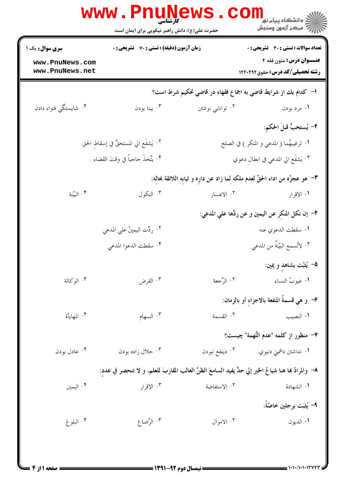|                                        | <b>www.PnuNews</b><br>کارشناسی<br>حضرت علی(ع): دانش راهبر نیکویی برای ایمان است                        |                                     | ڪ دانشڪاه پيام نور <mark>∟</mark><br>/7 مرڪز آزمون وسنڊش                    |
|----------------------------------------|--------------------------------------------------------------------------------------------------------|-------------------------------------|-----------------------------------------------------------------------------|
| <b>سری سوال :</b> یک ۱                 | زمان آزمون (دقیقه) : تستی : 70 ٪ تشریحی : 0                                                            |                                     | تعداد سوالات : تستي : 30 - تشريحي : 0                                       |
| www.PnuNews.com<br>www.PnuNews.net     |                                                                                                        |                                     | عنــوان درس: متون فقه ۴<br><b>رشته تحصیلی/کد درس:</b> حقوق122021            |
|                                        |                                                                                                        |                                     | ا– كدام يك از شرايط قاضي به اجماع فقهاء در قاضي تحكيم شرط است؟              |
| ۰۴ شايستگي فتواء دادن                  | بينا بودن $\cdot^{\mathsf{v}}$                                                                         | ۰۲ توانایی نوشتن                    | ۰۱ مرد بودن                                                                 |
|                                        |                                                                                                        |                                     | ٢- يُستحبُّ قبلَ الحكم:                                                     |
| ٠٢ يَشفَع الي المستحقَّ في إسقاطِ الحق |                                                                                                        |                                     | <mark>ا</mark> . ترغيبهُما ( المدعي و المنكر ) في الصلح                     |
| ۴. يتِّخذَ حاجباً في وقتَ القضاء       |                                                                                                        | ٠٣ يَشفَع الي المدعي في ابطالِ دعوي |                                                                             |
|                                        |                                                                                                        |                                     | ٣– هو عجزُه من اداء الحقِّ لعدم ملكه لما زاد عن داره و ثيابه اللائقة بحاله: |
| ۰۴ البيّنة                             | ۰۳ النکول                                                                                              | ۰۲ الاعسار                          | ۰۱ الاقرار                                                                  |
|                                        |                                                                                                        |                                     | ۴– إن نكل المنكِر عن اليمين و عن ردِّها علي المدعي:                         |
|                                        | ٢. ردَّت اليمينُ علي المدعي                                                                            |                                     | <b>۱.</b> سقطت الدعوي عنه                                                   |
|                                        | ۴. سقطت الدعوا المدعي                                                                                  |                                     | ٠٣ لأتسمع البيّنةُ من المدعي                                                |
|                                        |                                                                                                        |                                     | ۵– يُثبّت بشاهدٍ و يمين:                                                    |
| ۰۴ الوکالة                             | القرض $\cdot^{\mathfrak{r}}$                                                                           | ۰۲ الرَّجعة                         | ٠١ عيوبُ النساء                                                             |
|                                        |                                                                                                        |                                     | ۶– و هي قسمةَ المنفعة بالاجزاء أو بالزمان:                                  |
| ۰۴ المهايأة                            | ۰۳ السهام                                                                                              | ٠٢ القسمة                           | ۰۱ النصيب                                                                   |
|                                        |                                                                                                        |                                     | ٧– منظور از كلمه "عدم التُّهمة" چيست؟                                       |
| ۰۴ عادل بودن                           | ۰۳ حلال زاده بودن                                                                                      | ۰۲ ذینفع نبودن                      | ۰۱ نداشتن دشمنی دنیوي                                                       |
|                                        | ٨– والمرادُ بما هنا شياعُ الخبر إلي حدٍّ يفيد السامعَ الظنَّ الغالب المقاربَ للعلم، و لا تنحصر في عدد: |                                     |                                                                             |
| ۰۴ الیمین                              | ۰۳ الاقرار                                                                                             | ٠٢ الاستفاضة                        | ٠١ الشهادة                                                                  |
|                                        |                                                                                                        |                                     | ٩− يُشبَت برجلين خاصّةً:                                                    |
| ۰۴ البلوغ                              | ۰۳ الرِّضاع                                                                                            | ۰۲ الاموال                          | ٠١ الديون                                                                   |
|                                        |                                                                                                        |                                     |                                                                             |
|                                        |                                                                                                        |                                     |                                                                             |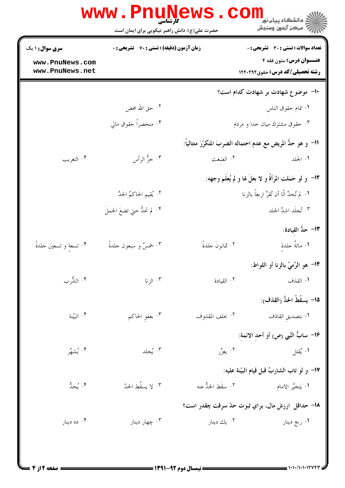| ر دانشڪاه پيام نور <mark>−</mark><br>ر <i>ا</i> =<br>رکز آزمون وسنجش    |                    | حضرت علی(ع): دانش راهبر نیکویی برای ایمان است                         |                                    |
|-------------------------------------------------------------------------|--------------------|-----------------------------------------------------------------------|------------------------------------|
| <b>تعداد سوالات : تستی : 30 ٪ تشریحی : 0</b><br>عنــوان درس: متون فقه ۴ |                    | زمان آزمون (دقیقه) : تستی : 70 ٪ تشریحی : 0<br><b>سری سوال : ۱ یک</b> |                                    |
| <b>رشته تحصیلی/کد درس:</b> حقوق122021                                   |                    |                                                                       | www.PnuNews.com<br>www.PnuNews.net |
| -۱- موضوع شهادت بر شهادت کدام است؟                                      |                    |                                                                       |                                    |
| ۰۱ تمام حقوق الناس                                                      |                    | ٢. حق الله محض                                                        |                                    |
| ۰۳ حقوق مشترك ميان خدا و مردم                                           |                    | ۴. منحصراً حقوق مالي                                                  |                                    |
| 11– و هو حلُّ المريض مع عدم احتماله الضربَ المتكرّرَ متتالياً:          |                    |                                                                       |                                    |
| ١. الجَلد من ١٠ ١ الضغث                                                 |                    | ۰۳ جزٌ الرأس                                                          | ۰۴ التغريب                         |
| 1۲– و لو حَمَلت المرأةُ و لا بعلَ لها و لم يُعلَم وجهه:                 |                    |                                                                       |                                    |
| <b>۱.   لم تُحدَّ الَّا أن تُقرَّ اربعاً بالزنا</b>                     |                    | ٢. يُقيم الحاكمُ الحدَّ                                               |                                    |
| ۴. تُجلَد اشدَّ الجلد                                                   |                    | ۴. لم تحدُّ حتي تضعَ الحملَ                                           |                                    |
| 1۳– حدُّ القيادة:                                                       |                    |                                                                       |                                    |
| ١. مائةُ جلدةِ                                                          | ٢. ثمانونَ جلدةً   | ٠٣ خمسٌ و سبعون جلدةً                                                 | ۰۴ تسعةٍ و تسعين حلدةً             |
| 1۴– هو الرَّميُ بالزنا أو اللواط:                                       |                    |                                                                       |                                    |
| ١. القذف                                                                | ٠٢ القيادة         | ۰۳ الزنا                                                              | ۰۴ الشُّرب                         |
| 1۵– يسقُطُ الحدُّ (القذف):                                              |                    |                                                                       |                                    |
| ٠١ بتصديق القاذف                                                        | ٠٢ بحلف المقذوف    | ۰۳ بعفو الحاکم                                                        | ۰۴ البيّنة                         |
| 1۶– سابٌ النّبي (ص) أو أحد الائمة:                                      |                    |                                                                       |                                    |
| ۰۱ يُقتل                                                                | ۰۲ يعزَّر          | ۰۳ يُجلد                                                              | ۰۴ يُشهَّر                         |
| 17– و لو تاب الشاربُ قبل قيام البيّنة عليه:                             |                    |                                                                       |                                    |
| <b>۱.</b> يَتخيَّر الامام                                               | ٢. سقَط الحدُّ عنه | ۰۳ لا يسقُط الحدّ                                                     | ۴. يُحدُّ                          |
| 1۸– حداقل ارزش مال، براي ثبوت حدّ سرقت چقدر است؟                        |                    |                                                                       |                                    |
| ۰۱ ربع دينار                                                            | ۰۲ يك دينار        | ۰۳ چهار دينار                                                         | ۰۴ ده دينار                        |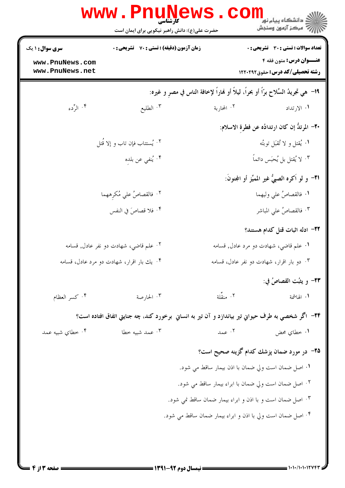|                                                              | <b>www.PnuNews</b><br>حضرت علی(ع): دانش راهبر نیکویی برای ایمان است                                |                                                            | ڪ دانشڪاه پيا <sub>م</sub> نور<br><mark>√</mark> مرڪز آزمون وسنڊش                                                       |  |
|--------------------------------------------------------------|----------------------------------------------------------------------------------------------------|------------------------------------------------------------|-------------------------------------------------------------------------------------------------------------------------|--|
| <b>سری سوال : ۱ یک</b><br>www.PnuNews.com<br>www.PnuNews.net | <b>زمان آزمون (دقیقه) : تستی : 70 قشریحی : 0</b>                                                   |                                                            | <b>تعداد سوالات : تستی : 30 ٪ تشریحی : 0</b><br><b>عنــوان درس:</b> متون فقه ۴<br><b>رشته تحصیلی/کد درس:</b> حقوق122021 |  |
|                                                              | 1۹–  هي تجريدُ السِّلاح برّاً أو بحراً، ليلاً أو فماراً لإخافة الناس في مصرٍ و غيره:               |                                                            |                                                                                                                         |  |
| ۰۴ الرَّدء                                                   | ۰۳ الطليع                                                                                          | ۰۲ المحاربة                                                | ۰۱ الارتداد                                                                                                             |  |
|                                                              |                                                                                                    |                                                            | ٢٠– المرتدُّ إن كان ارتدادُه عن فطرة الاسلام:                                                                           |  |
|                                                              | ٠٢ يُستتاب فإن تاب و إلا قُتل                                                                      |                                                            | ۰۱ يُقتل و لا تُقبَل توبتُه                                                                                             |  |
|                                                              | ۰۴ يُنفي عن بلده                                                                                   |                                                            | ۰۳ لا يُقتل بل يُحبَس دائماً                                                                                            |  |
|                                                              |                                                                                                    |                                                            | <b>٢١</b> – و لو اَكره الصبيُّ غير المميِّز أو المجنونَ:                                                                |  |
|                                                              | ۰۲ فالقصاصُ علي مُكرِههما                                                                          |                                                            | ٠١ فالقصاصُ على وليهما                                                                                                  |  |
|                                                              | ۰۴ فلا قصاصَ في النفس                                                                              |                                                            | ٠٣ فالقصاصُ علي المباشر                                                                                                 |  |
|                                                              |                                                                                                    |                                                            | ٢٢- ادله اثبات قتل كدام هستند؟                                                                                          |  |
|                                                              | ۰۲ علم قاضي، شهادت دو نفر عادل, قسامه                                                              |                                                            | ۰۱ علم قاضي، شهادت دو مرد عادل, قسامه                                                                                   |  |
|                                                              | ۴ . یك بار اقرار، شهادت دو مرد عادل، قسامه                                                         | ۰۳ دو بار اقرار، شهادت دو نفر عادل، قسامه                  |                                                                                                                         |  |
|                                                              |                                                                                                    |                                                            | ٢٣- و يشت القصاصُ في:                                                                                                   |  |
| ۰۴ كسر العظام                                                | ۰۳ الحارصة                                                                                         | ۰۲ منقٌلة                                                  | ١. الهاشمة                                                                                                              |  |
|                                                              | ۲۴– اگر شخصي به طرف حيواني تير بياندازد و آن تير به انساني برخورد کند، چه جنايتي اتفاق افتاده است؟ |                                                            |                                                                                                                         |  |
| ۰۴ خطاي شبيه عمد                                             | ۰۳ عمد شبیه خطا                                                                                    | ۰۲ عمد                                                     | ۰۱ خطاي محض                                                                                                             |  |
|                                                              |                                                                                                    | ۲۵– در مورد ضمان پزشك كدام گزينه صحيح است؟                 |                                                                                                                         |  |
|                                                              |                                                                                                    | ٠١ اصل ضمان است ولي ضمان با اذن بيمار ساقط مي شود.         |                                                                                                                         |  |
|                                                              |                                                                                                    | ٢. اصل ضمان است ولي ضمان با ابراء بيمار ساقط مي شود.       |                                                                                                                         |  |
|                                                              |                                                                                                    | ۰۳ اصل ضمان است و با اذن و ابراء بيمار ضمان ساقط نمي شود.  |                                                                                                                         |  |
|                                                              |                                                                                                    | ۰۴ اصل ضمان است ولي با اذن و ابراء بيمار ضمان ساقط مي شود. |                                                                                                                         |  |
|                                                              |                                                                                                    |                                                            |                                                                                                                         |  |
|                                                              |                                                                                                    |                                                            |                                                                                                                         |  |